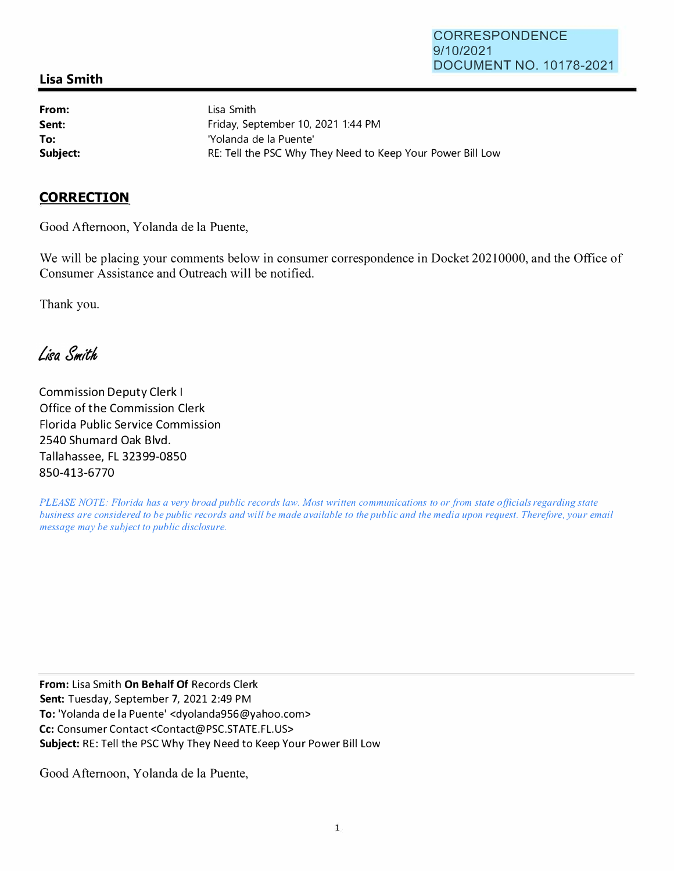## **Lisa Smith**

**From: Sent: To:** 

Lisa Smith Friday, September 10, 2021 1:44 PM 'Yolanda de la Puente' **Subject: RE: Tell the PSC Why They Need to Keep Your Power Bill Low** 

## **CORRECTION**

Good Afternoon, Yolanda de la Puente,

We will be placing your comments below in consumer correspondence in Docket 20210000, and the Office of Consumer Assistance and Outreach will be notified.

Thank you.

Lisa Smith

Commission Deputy Clerk I Office of the Commission Clerk Florida Public Service Commission 2540 Shumard Oak Blvd. Tallahassee, FL 32399-0850 **850-413-6770**

*PLEASE NOTE: Florida has a very broad public records law. Most written communications to or from state officials regarding state business are considered to be public records and will be made available to the public and the media upon request. Therefore, your email message may be subject to public disclosure.* 

**From:** Lisa Smith **On Behalf Of** Records Clerk **Sent:** Tuesday, September 7, 2021 2:49 PM **To:** 'Yolanda de la Puente' <dyolanda956@yahoo.com> Cc: Consumer Contact <Contact@PSC.STATE.FL.US> **Subject:** RE: Tell the PSC Why They Need to Keep Your Power Bill Low

Good Afternoon, Yolanda de la Puente,